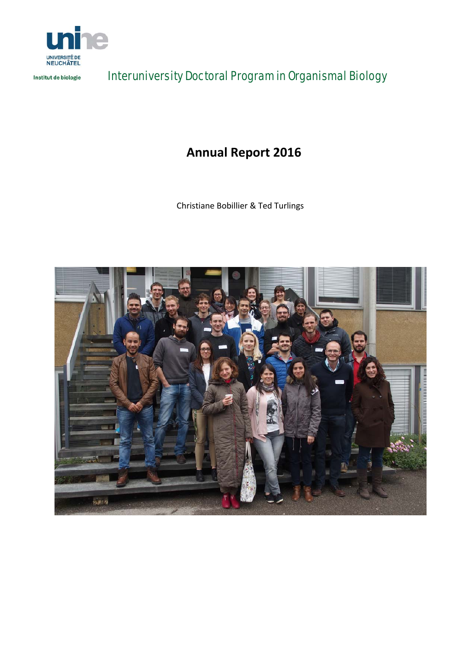

Institut de biologie

Interuniversity Doctoral Program in Organismal Biology

## **Annual Report 2016**

Christiane Bobillier & Ted Turlings

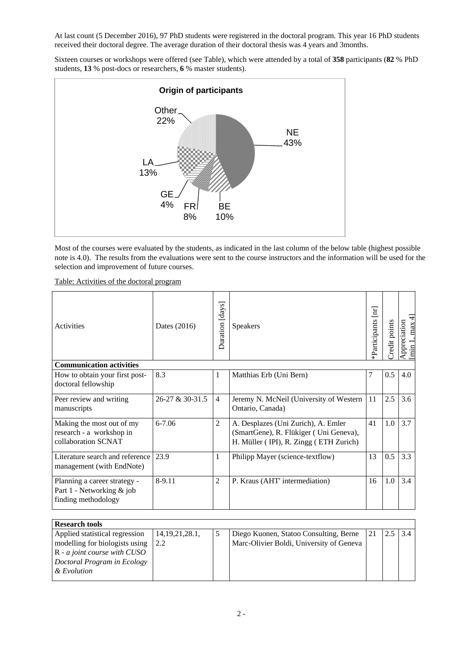At last count (5 December 2016), 97 PhD students were registered in the doctoral program. This year 16 PhD students received their doctoral degree. The average duration of their doctoral thesis was 4 years and 3months.

Sixteen courses or workshops were offered (see Table), which were attended by a total of **358** participants (**82** % PhD students, **13** % post-docs or researchers, **6** % master students).



Most of the courses were evaluated by the students, as indicated in the last column of the below table (highest possible note is 4.0). The results from the evaluations were sent to the course instructors and the information will be used for the selection and improvement of future courses.

Table: Activities of the doctoral program

| Activities                                                                       | Dates (2016)    | [days]<br>Duration | <b>Speakers</b>                                                                                                         | *Participants [nr] | redit points | $\overline{\mathcal{A}}$<br>Appreciation<br>max<br>$\lim$ |
|----------------------------------------------------------------------------------|-----------------|--------------------|-------------------------------------------------------------------------------------------------------------------------|--------------------|--------------|-----------------------------------------------------------|
| <b>Communication activities</b>                                                  |                 |                    |                                                                                                                         |                    |              |                                                           |
| How to obtain your first post-<br>doctoral fellowship                            | 8.3             | 1                  | Matthias Erb (Uni Bern)                                                                                                 | 7                  | 0.5          | 4.0                                                       |
| Peer review and writing<br>manuscripts                                           | 26-27 & 30-31.5 | $\overline{4}$     | Jeremy N. McNeil (University of Western<br>Ontario, Canada)                                                             | 11                 | 2.5          | 3.6                                                       |
| Making the most out of my<br>research - a workshop in<br>collaboration SCNAT     | $6 - 7.06$      | $\overline{2}$     | A. Desplazes (Uni Zurich), A. Emler<br>(SmartGene), R. Flükiger (Uni Geneva),<br>H. Müller (IPI), R. Zingg (ETH Zurich) | 41                 | 1.0          | 3.7                                                       |
| Literature search and reference<br>management (with EndNote)                     | 23.9            | $\mathbf{1}$       | Philipp Mayer (science-textflow)                                                                                        | 13                 | 0.5          | 3.3                                                       |
| Planning a career strategy -<br>Part 1 - Networking & job<br>finding methodology | 8-9.11          | $\overline{2}$     | P. Kraus (AHT' intermediation)                                                                                          | 16                 | 1.0          | 3.4                                                       |

| <b>Research tools</b>          |                |                                          |                  |              |  |
|--------------------------------|----------------|------------------------------------------|------------------|--------------|--|
| Applied statistical regression | 14,19,21,28.1, | Diego Kuonen, Statoo Consulting, Berne   | $\vert 21 \vert$ | $2.5 \,$ 3.4 |  |
| modelling for biologists using | 2.2            | Marc-Olivier Boldi, University of Geneva |                  |              |  |
| $R - a$ joint course with CUSO |                |                                          |                  |              |  |
| Doctoral Program in Ecology    |                |                                          |                  |              |  |
| & Evolution                    |                |                                          |                  |              |  |
|                                |                |                                          |                  |              |  |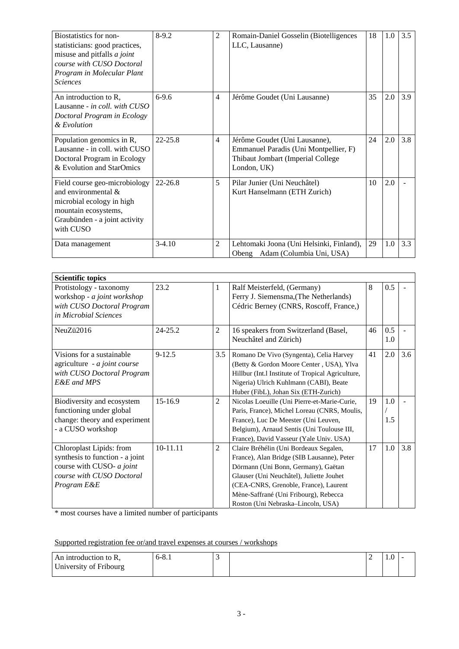| Biostatistics for non-<br>statisticians: good practices,<br>misuse and pitfalls <i>a joint</i><br>course with CUSO Doctoral<br>Program in Molecular Plant<br><b>Sciences</b> | $8-9.2$     | $\overline{c}$ | Romain-Daniel Gosselin (Biotelligences<br>LLC, Lausanne)                                                                   | 18 | 1.0 | 3.5 |
|------------------------------------------------------------------------------------------------------------------------------------------------------------------------------|-------------|----------------|----------------------------------------------------------------------------------------------------------------------------|----|-----|-----|
| An introduction to R,<br>Lausanne - in coll. with CUSO<br>Doctoral Program in Ecology<br>& Evolution                                                                         | $6-9.6$     | 4              | Jérôme Goudet (Uni Lausanne)                                                                                               | 35 | 2.0 | 3.9 |
| Population genomics in R,<br>Lausanne - in coll. with CUSO<br>Doctoral Program in Ecology<br>& Evolution and StarOmics                                                       | $22 - 25.8$ | 4              | Jérôme Goudet (Uni Lausanne),<br>Emmanuel Paradis (Uni Montpellier, F)<br>Thibaut Jombart (Imperial College<br>London, UK) | 24 | 2.0 | 3.8 |
| Field course geo-microbiology<br>and environmental &<br>microbial ecology in high<br>mountain ecosystems,<br>Graubünden - a joint activity<br>with CUSO                      | $22 - 26.8$ | 5              | Pilar Junier (Uni Neuchâtel)<br>Kurt Hanselmann (ETH Zurich)                                                               | 10 | 2.0 |     |
| Data management                                                                                                                                                              | $3-4.10$    | $\overline{2}$ | Lehtomaki Joona (Uni Helsinki, Finland),<br>Adam (Columbia Uni, USA)<br>Obeng                                              | 29 | 1.0 | 3.3 |

| <b>Scientific topics</b>                                                                                                             |            |                |                                                                                                                                                                                                                                                                                                 |    |            |     |
|--------------------------------------------------------------------------------------------------------------------------------------|------------|----------------|-------------------------------------------------------------------------------------------------------------------------------------------------------------------------------------------------------------------------------------------------------------------------------------------------|----|------------|-----|
| Protistology - taxonomy<br>workshop - a joint workshop<br>with CUSO Doctoral Program<br>in Microbial Sciences                        | 23.2       | 1              | Ralf Meisterfeld, (Germany)<br>Ferry J. Siemensma, (The Netherlands)<br>Cédric Berney (CNRS, Roscoff, France,)                                                                                                                                                                                  | 8  | 0.5        |     |
| NeuZü2016                                                                                                                            | 24-25.2    | $\overline{2}$ | 16 speakers from Switzerland (Basel,<br>Neuchâtel and Zürich)                                                                                                                                                                                                                                   | 46 | 0.5<br>1.0 |     |
| Visions for a sustainable<br>agriculture - a joint course<br>with CUSO Doctoral Program<br>E&E and MPS                               | $9 - 12.5$ | 3.5            | Romano De Vivo (Syngenta), Celia Harvey<br>(Betty & Gordon Moore Center, USA), Ylva<br>Hillbur (Int.l Institute of Tropical Agriculture,<br>Nigeria) Ulrich Kuhlmann (CABI), Beate<br>Huber (FibL), Johan Six (ETH-Zurich)                                                                      | 41 | 2.0        | 3.6 |
| Biodiversity and ecosystem<br>functioning under global<br>change: theory and experiment<br>- a CUSO workshop                         | 15-16.9    | $\overline{c}$ | Nicolas Loeuille (Uni Pierre-et-Marie-Curie,<br>Paris, France), Michel Loreau (CNRS, Moulis,<br>France), Luc De Meester (Uni Leuven,<br>Belgium), Arnaud Sentis (Uni Toulouse III,<br>France), David Vasseur (Yale Univ. USA)                                                                   | 19 | 1.0<br>1.5 |     |
| Chloroplast Lipids: from<br>synthesis to function - a joint<br>course with CUSO- a joint<br>course with CUSO Doctoral<br>Program E&E | 10-11.11   | $\overline{2}$ | Claire Bréhélin (Uni Bordeaux Segalen,<br>France), Alan Bridge (SIB Lausanne), Peter<br>Dörmann (Uni Bonn, Germany), Gaëtan<br>Glauser (Uni Neuchâtel), Juliette Jouhet<br>(CEA-CNRS, Grenoble, France), Laurent<br>Mène-Saffrané (Uni Fribourg), Rebecca<br>Roston (Uni Nebraska-Lincoln, USA) | 17 | 1.0        | 3.8 |

\* most courses have a limited number of participants

Supported registration fee or/and travel expenses at courses / workshops

| An introduction to R,  | $6-8.1$ |  | $\mathbf{1} \cdot \mathbf{0}$ |  |
|------------------------|---------|--|-------------------------------|--|
| University of Fribourg |         |  |                               |  |